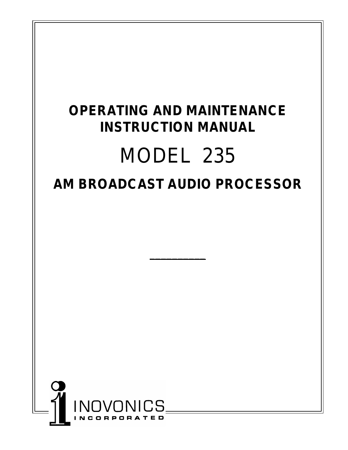# **OPERATING AND MAINTENANCE INSTRUCTION MANUAL** MODEL 235 **AM BROADCAST AUDIO PROCESSOR**

**\_\_\_\_\_\_\_\_\_\_**

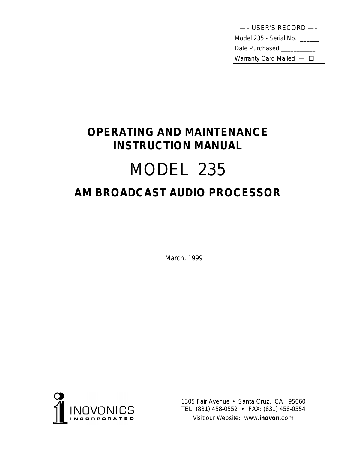| --- USER'S RECORD -          |
|------------------------------|
| Model 235 - Serial No. _____ |
| Date Purchased               |
| Warranty Card Mailed $-\Box$ |

# **OPERATING AND MAINTENANCE INSTRUCTION MANUAL** MODEL 235 **AM BROADCAST AUDIO PROCESSOR**

March, 1999



1305 Fair Avenue • Santa Cruz, CA 95060 TEL: (831) 458-0552 • FAX: (831) 458-0554 *Visit our Website:* www.**inovon**.com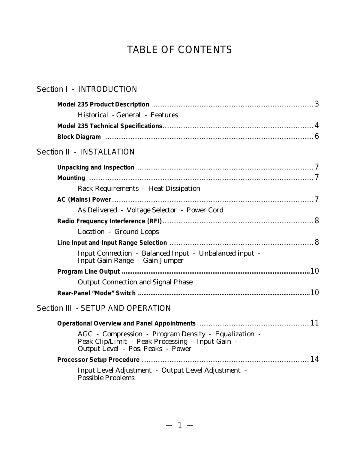# TABLE OF CONTENTS

### Section I - INTRODUCTION

| Historical - General - Features                                                                                                               |  |
|-----------------------------------------------------------------------------------------------------------------------------------------------|--|
|                                                                                                                                               |  |
|                                                                                                                                               |  |
| Section II - INSTALLATION                                                                                                                     |  |
|                                                                                                                                               |  |
|                                                                                                                                               |  |
| Rack Requirements - Heat Dissipation                                                                                                          |  |
|                                                                                                                                               |  |
| As Delivered - Voltage Selector - Power Cord                                                                                                  |  |
|                                                                                                                                               |  |
| Location - Ground Loops                                                                                                                       |  |
|                                                                                                                                               |  |
| Input Connection - Balanced Input - Unbalanced input -<br>Input Gain Range - Gain Jumper                                                      |  |
|                                                                                                                                               |  |
| <b>Output Connection and Signal Phase</b>                                                                                                     |  |
|                                                                                                                                               |  |
| Section III - SETUP AND OPERATION                                                                                                             |  |
|                                                                                                                                               |  |
| AGC - Compression - Program Density - Equalization -<br>Peak Clip/Limit - Peak Processing - Input Gain -<br>Output Level - Pos. Peaks - Power |  |
|                                                                                                                                               |  |
| Input Level Adjustment - Output Level Adjustment -<br>Possible Problems                                                                       |  |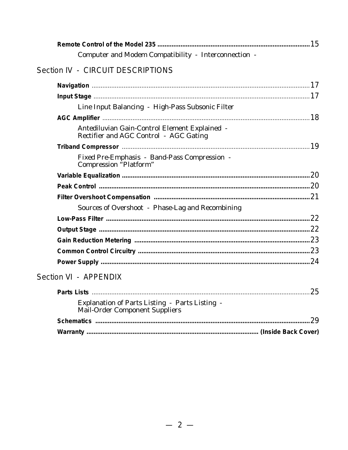| Computer and Modem Compatibility - Interconnection -                                    |    |
|-----------------------------------------------------------------------------------------|----|
| Section IV - CIRCUIT DESCRIPTIONS                                                       |    |
|                                                                                         |    |
|                                                                                         |    |
| Line Input Balancing - High-Pass Subsonic Filter                                        |    |
|                                                                                         |    |
| Antediluvian Gain-Control Element Explained -<br>Rectifier and AGC Control - AGC Gating |    |
|                                                                                         |    |
| Fixed Pre-Emphasis - Band-Pass Compression -<br>Compression "Platform"                  |    |
|                                                                                         |    |
|                                                                                         |    |
|                                                                                         |    |
| Sources of Overshoot - Phase-Lag and Recombining                                        |    |
|                                                                                         |    |
|                                                                                         |    |
|                                                                                         |    |
|                                                                                         |    |
|                                                                                         |    |
| Section VI - APPENDIX                                                                   |    |
| <b>Parts Lists</b>                                                                      | 25 |
| Explanation of Parts Listing - Parts Listing -<br><b>Mail-Order Component Suppliers</b> |    |
|                                                                                         | 29 |
|                                                                                         |    |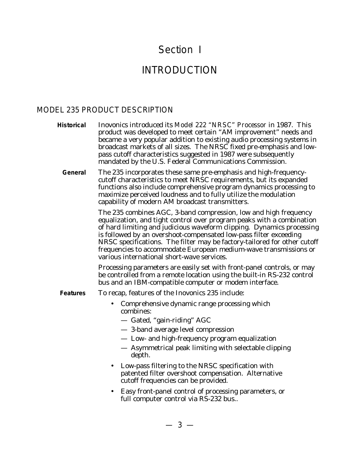# Section I

# INTRODUCTION

#### MODEL 235 PRODUCT DESCRIPTION

**Historical** Inovonics introduced its *Model 222 "NRSC" Processor* in 1987. This product was developed to meet certain "AM improvement" needs and became a very popular addition to existing audio processing systems in broadcast markets of all sizes. The NRSC fixed pre-emphasis and lowpass cutoff characteristics suggested in 1987 were subsequently mandated by the U.S. Federal Communications Commission.

**General** The 235 incorporates these same pre-emphasis and high-frequencycutoff characteristics to meet NRSC requirements, but its expanded functions also include comprehensive program dynamics processing to maximize perceived loudness and to fully utilize the modulation capability of modern AM broadcast transmitters.

> The 235 combines AGC, 3-band compression, low and high frequency equalization, and tight control over program peaks with a combination of hard limiting and judicious waveform clipping. Dynamics processing is followed by an overshoot-compensated low-pass filter exceeding NRSC specifications. The filter may be factory-tailored for other cutoff frequencies to accommodate European medium-wave transmissions or various international short-wave services.

Processing parameters are easily set with front-panel controls, or may be controlled from a remote location using the built-in RS-232 control bus and an IBM-compatible computer or modem interface.

- **Features** To recap, features of the Inovonics 235 include:
	- Comprehensive dynamic range processing which combines:
		- Gated, "gain-riding" AGC
		- 3-band average level compression
		- Low- and high-frequency program equalization
		- Asymmetrical peak limiting with selectable clipping depth.
	- Low-pass filtering to the NRSC specification with patented filter overshoot compensation. Alternative cutoff frequencies can be provided.
	- Easy front-panel control of processing parameters, or full computer control via RS-232 bus..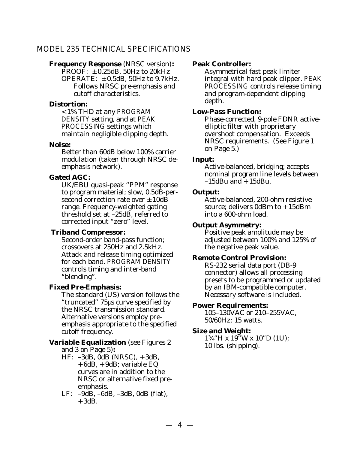#### MODEL 235 TECHNICAL SPECIFICATIONS

#### **Frequency Response** (NRSC version)**:**

PROOF:  $\pm$  0.25dB, 50Hz to 20kHz OPERATE:  $\pm 0.5$ dB, 50Hz to 9.7kHz. Follows NRSC pre-emphasis and cutoff characteristics.

#### **Distortion:**

<1% THD at any PROGRAM DENSITY setting, and at PEAK PROCESSING settings which maintain negligible clipping depth.

#### **Noise:**

Better than 60dB below 100% carrier modulation (taken through NRSC deemphasis network).

#### **Gated AGC:**

UK/EBU quasi-peak "PPM" response to program material; slow, 0.5dB-persecond correction rate over  $\pm$  10dB range. Frequency-weighted gating threshold set at –25dB, referred to corrected input "zero" level.

#### **Triband Compressor:**

Second-order band-pass function; crossovers at 250Hz and 2.5kHz. Attack and release timing optimized for each band. PROGRAM DENSITY controls timing and inter-band "blending".

#### **Fixed Pre-Emphasis:**

The standard (US) version follows the "truncated" 75µs curve specified by the NRSC transmission standard. Alternative versions employ preemphasis appropriate to the specified cutoff frequency.

#### **Variable Equalization** (see Figures 2 and 3 on Page 5)**:**

- HF: –3dB, 0dB (NRSC), +3dB,  $+6dB$ ,  $+9dB$ ; variable EQ curves are in addition to the NRSC or alternative fixed preemphasis.
- LF: –9dB, –6dB, –3dB, 0dB (flat),  $+3dB.$

#### **Peak Controller:**

Asymmetrical fast peak limiter integral with hard peak clipper. PEAK PROCESSING controls release timing and program-dependent clipping depth.

#### **Low-Pass Function:**

Phase-corrected, 9-pole FDNR activeelliptic filter with proprietary overshoot compensation. Exceeds NRSC requirements. (See Figure 1 on Page 5.)

#### **Input:**

Active-balanced, bridging; accepts nominal program line levels between  $-15$ dBu and  $+15$ dBu.

#### **Output:**

Active-balanced, 200-ohm resistive source; delivers 0dBm to +15dBm into a 600-ohm load.

#### **Output Asymmetry:**

Positive peak amplitude may be adjusted between 100% and 125% of the negative peak value.

#### **Remote Control Provision:**

RS-232 serial data port (DB-9 connector) allows all processing presets to be programmed or updated by an IBM-compatible computer. Necessary software is included.

#### **Power Requirements:**

105–130VAC or 210–255VAC, 50/60Hz; 15 watts.

#### **Size and Weight:**

1¾"H x 19"W x 10"D (1U); 10 lbs. (shipping).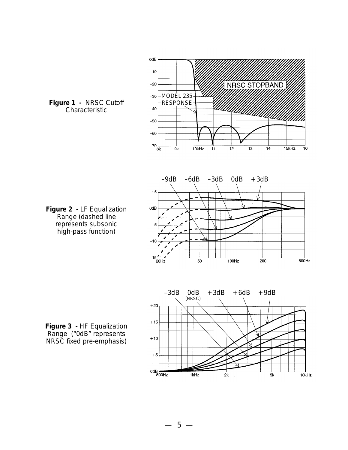

**Figure 1 -** NRSC Cutoff Characteristic

**Figure 2 -** LF Equalization Range (dashed line represents subsonic high-pass function)

**Figure 3 -** HF Equalization Range ("0dB" represents NRSC fixed pre-emphasis)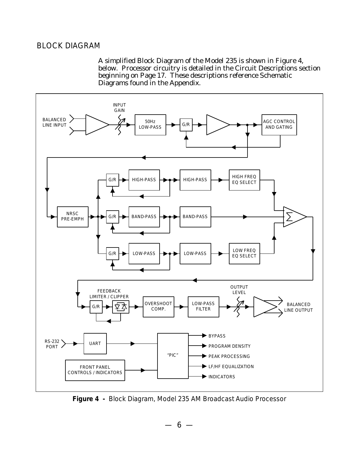#### BLOCK DIAGRAM

A simplified Block Diagram of the Model 235 is shown in Figure 4, below. Processor circuitry is detailed in the Circuit Descriptions section beginning on Page 17. These descriptions reference Schematic Diagrams found in the Appendix.



**Figure 4 -** Block Diagram, Model 235 AM Broadcast Audio Processor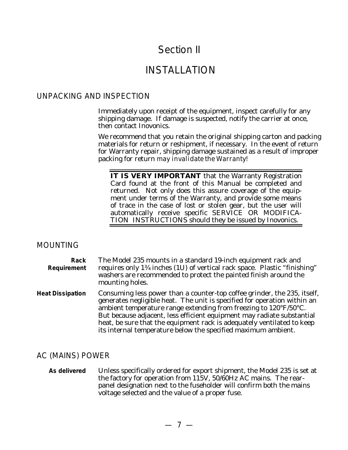# Section II

## INSTALLATION

#### UNPACKING AND INSPECTION

Immediately upon receipt of the equipment, inspect carefully for any shipping damage. If damage is suspected, notify the carrier at once, then contact Inovonics.

We recommend that you retain the original shipping carton and packing materials for return or reshipment, if necessary. In the event of return for Warranty repair, shipping damage sustained as a result of improper packing for return *may invalidate the Warranty!*

**IT IS VERY IMPORTANT** that the Warranty Registration Card found at the front of this Manual be completed and returned. Not only does this assure coverage of the equipment under terms of the Warranty, and provide some means of trace in the case of lost or stolen gear, but the user will automatically receive specific SERVICE OR MODIFICA-TION INSTRUCTIONS should they be issued by Inovonics.

#### MOUNTING

| Rack<br>Requirement     | The Model 235 mounts in a standard 19-inch equipment rack and<br>requires only 1 <sup>34</sup> inches (1U) of vertical rack space. Plastic "finishing"<br>washers are recommended to protect the painted finish around the<br>mounting holes.                                                                                                                                                                                                                      |
|-------------------------|--------------------------------------------------------------------------------------------------------------------------------------------------------------------------------------------------------------------------------------------------------------------------------------------------------------------------------------------------------------------------------------------------------------------------------------------------------------------|
| <b>Heat Dissipation</b> | Consuming less power than a counter-top coffee grinder, the 235, itself,<br>generates negligible heat. The unit is specified for operation within an<br>ambient temperature range extending from freezing to $120^{\circ}$ F/50 $^{\circ}$ C.<br>But because adjacent, less efficient equipment may radiate substantial<br>heat, be sure that the equipment rack is adequately ventilated to keep<br>its internal temperature below the specified maximum ambient. |

#### AC (MAINS) POWER

**As delivered** Unless specifically ordered for export shipment, the Model 235 is set at the factory for operation from 115V, 50/60Hz AC mains. The rearpanel designation next to the fuseholder will confirm both the mains voltage selected and the value of a proper fuse.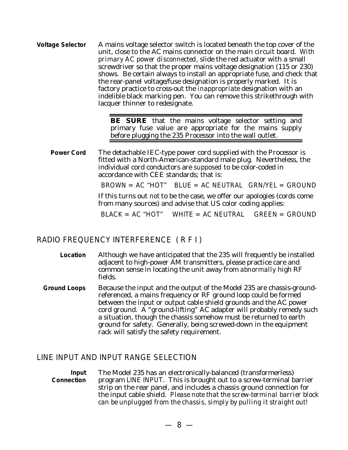**Voltage Selector** A mains voltage selector switch is located beneath the top cover of the unit, close to the AC mains connector on the main circuit board. *With primary AC power disconnected,* slide the red actuator with a small screwdriver so that the proper mains voltage designation (115 or 230) shows. Be certain always to install an appropriate fuse, and check that the rear-panel voltage/fuse designation is properly marked. It is factory practice to cross-out the *inappropriate* designation with an indelible black marking pen. You can remove this strikethrough with lacquer thinner to redesignate.

> **BE SURE** that the mains voltage selector setting and primary fuse value are appropriate for the mains supply before plugging the 235 Processor into the wall outlet.

**Power Cord** The detachable IEC-type power cord supplied with the Processor is fitted with a North-American-standard male plug. Nevertheless, the individual cord conductors are *supposed* to be color-coded in accordance with CEE standards; that is:

 $BROWN = AC$  "HOT" BLUE = AC NEUTRAL GRN/YEL = GROUND

If this turns out *not* to be the case, we offer our apologies (cords come from many sources) and advise that US color coding applies:

 $BIACK = AC$  "HOT" WHITE = AC NEUTRAL GREEN = GROUND

#### RADIO FREQUENCY INTERFERENCE ( R F I )

**Location** Although we have anticipated that the 235 will frequently be installed adjacent to high-power AM transmitters, please practice care and common sense in locating the unit away from *abnormally* high RF fields.

**Ground Loops** Because the input and the output of the Model 235 are chassis-groundreferenced, a mains frequency or RF ground loop could be formed between the input or output cable shield grounds and the AC power cord ground. A "ground-lifting" AC adapter will probably remedy such a situation, though the chassis somehow must be returned to earth ground for safety. Generally, being screwed-down in the equipment rack will satisfy the safety requirement.

#### LINE INPUT AND INPUT RANGE SELECTION

**Input Connection** The Model 235 has an electronically-balanced (transformerless) program LINE INPUT. This is brought out to a screw-terminal barrier strip on the rear panel, and includes a chassis ground connection for the input cable shield. *Please note that the screw-terminal barrier block can be unplugged from the chassis, simply by pulling it straight out!*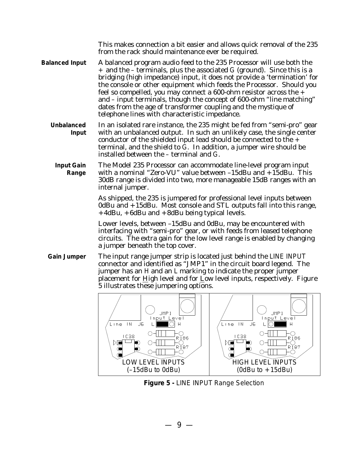This makes connection a bit easier and allows quick removal of the 235 from the rack should maintenance ever be required.

- **Balanced Input** A balanced program audio feed to the 235 Processor will use both the + and the – terminals, plus the associated G (ground). Since this is a bridging (high impedance) input, it does not provide a 'termination' for the console or other equipment which feeds the Processor. Should you feel so compelled, you may connect a 600-ohm resistor across the + and – input terminals, though the concept of 600-ohm "line matching" dates from the age of transformer coupling and the mystique of telephone lines with characteristic impedance.
	- **Unbalanced Input** In an isolated rare instance, the 235 might be fed from "semi-pro" gear with an unbalanced output. In such an unlikely case, the single center conductor of the shielded input lead should be connected to the + terminal, and the shield to G. In addition, a jumper wire should be installed between the – terminal and G.
		- **Input Gain Range** The Model 235 Processor can accommodate line-level program input with a nominal "Zero-VU" value between –15dBu and +15dBu. This 30dB range is divided into two, more manageable 15dB ranges with an internal jumper.

As shipped, the 235 is jumpered for professional level inputs between 0dBu and +15dBu. Most console and STL outputs fall into this range, +4dBu, +6dBu and +8dBu being typical levels.

Lower levels, between –15dBu and 0dBu, may be encountered with interfacing with "semi-pro" gear, or with feeds from leased telephone circuits. The extra gain for the low level range is enabled by changing a jumper beneath the top cover.

**Gain Jumper** The input range jumper strip is located just behind the LINE INPUT connector and identified as "JMP1" in the circuit board legend. The jumper has an H and an L marking to indicate the proper jumper placement for High level and for Low level inputs, respectively. Figure 5 illustrates these jumpering options.



**Figure 5 -** LINE INPUT Range Selection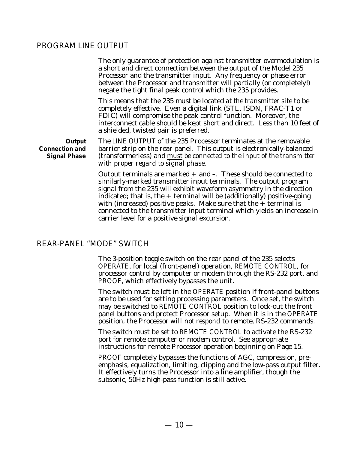#### PROGRAM LINE OUTPUT

The only guarantee of protection against transmitter overmodulation is a short and direct connection between the output of the Model 235 Processor and the transmitter input. Any frequency or phase error between the Processor and transmitter will partially (or completely!) negate the tight final peak control which the 235 provides.

This means that the 235 must be located *at the transmitter site* to be completely effective. Even a digital link (STL, ISDN, FRAC-T1 or FDIC) will compromise the peak control function. Moreover, the interconnect cable should be kept short and direct. Less than 10 feet of a shielded, twisted pair is preferred.

**Output Connection and Signal Phase** The LINE OUTPUT of the 235 Processor terminates at the removable barrier strip on the rear panel. This output is electronically-balanced (transformerless) and *must be connected to the input of the transmitter with proper regard to signal phase.*

> Output terminals are marked  $+$  and  $-$ . These should be connected to similarly-marked transmitter input terminals. The output program signal from the 235 will exhibit waveform asymmetry in the direction indicated; that is, the  $+$  terminal will be (additionally) positive-going with (increased) positive peaks. Make sure that the  $+$  terminal is connected to the transmitter input terminal which yields an increase in carrier level for a positive signal excursion.

#### REAR-PANEL "MODE" SWITCH

The 3-position toggle switch on the rear panel of the 235 selects OPERATE, for local (front-panel) operation, REMOTE CONTROL, for processor control by computer or modem through the RS-232 port, and PROOF, which effectively bypasses the unit.

The switch must be left in the OPERATE position if front-panel buttons are to be used for setting processing parameters. Once set, the switch may be switched to REMOTE CONTROL position to lock-out the front panel buttons and protect Processor setup. When it is in the OPERATE position, the Processor *will not respond* to remote, RS-232 commands.

The switch must be set to REMOTE CONTROL to activate the RS-232 port for remote computer or modem control. See appropriate instructions for remote Processor operation beginning on Page 15.

PROOF completely bypasses the functions of AGC, compression, preemphasis, equalization, limiting, clipping and the low-pass output filter. It effectively turns the Processor into a line amplifier, though the subsonic, 50Hz high-pass function is still active.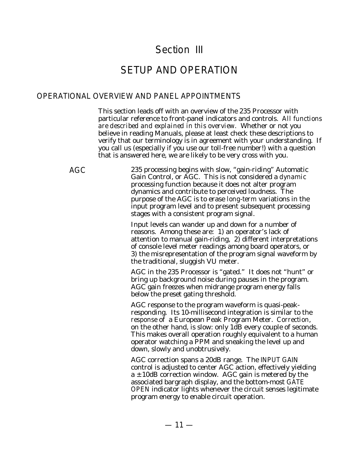# Section III

# SETUP AND OPERATION

#### OPERATIONAL OVERVIEW AND PANEL APPOINTMENTS

This section leads off with an overview of the 235 Processor with particular reference to front-panel indicators and controls. *All functions are described and explained in this overview.* Whether or not you believe in reading Manuals, please at least check these descriptions to verify that our terminology is in agreement with your understanding. If you call us (especially if you use our toll-free number!) with a question that is answered here, we are likely to be very cross with you.

AGC 235 processing begins with slow, "gain-riding" Automatic Gain Control, or AGC. This is not considered a *dynamic* processing function because it does not alter program dynamics and contribute to perceived loudness. The purpose of the AGC is to erase *long-term* variations in the input program level and to present subsequent processing stages with a consistent program signal.

> Input levels can wander up and down for a number of reasons. Among these are: 1) an operator's lack of attention to manual gain-riding, 2) different interpretations of console level meter readings among board operators, or 3) the misrepresentation of the program signal waveform by the traditional, sluggish VU meter.

AGC in the 235 Processor is "gated." It does not "hunt" or bring up background noise during pauses in the program. AGC gain freezes when midrange program energy falls below the preset gating threshold.

AGC response to the program waveform is quasi-peakresponding. Its 10-millisecond integration is similar to the *response* of a European Peak Program Meter. *Correction*, on the other hand, is slow: only 1dB every couple of seconds. This makes overall operation roughly equivalent to a human operator watching a PPM and sneaking the level up and down, slowly and unobtrusively.

AGC correction spans a 20dB range. The INPUT GAIN control is adjusted to center AGC action, effectively yielding  $a \pm 10$ dB correction window. AGC gain is metered by the associated bargraph display, and the bottom-most GATE OPEN indicator lights whenever the circuit senses legitimate program energy to enable circuit operation.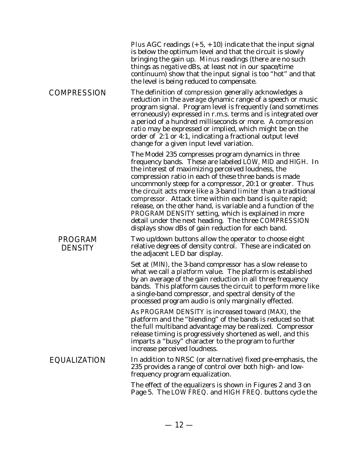|                                  | Plus AGC readings $(+5, +10)$ indicate that the input signal<br>is below the optimum level and that the circuit is slowly<br>bringing the gain up. Minus readings (there are no such<br>things as <i>negative</i> dBs, at least not in our space/time<br>continuum) show that the input signal is too "hot" and that<br>the level is being reduced to compensate.                                                                                                                                                                                                                                                                                                            |
|----------------------------------|------------------------------------------------------------------------------------------------------------------------------------------------------------------------------------------------------------------------------------------------------------------------------------------------------------------------------------------------------------------------------------------------------------------------------------------------------------------------------------------------------------------------------------------------------------------------------------------------------------------------------------------------------------------------------|
| <b>COMPRESSION</b>               | The definition of <i>compression</i> generally acknowledges a<br>reduction in the <i>average</i> dynamic range of a speech or music<br>program signal. Program level is frequently (and sometimes<br>erroneously) expressed in r.m.s. terms and is integrated over<br>a period of a hundred milliseconds or more. A compression<br>ratio may be expressed or implied, which might be on the<br>order of 2:1 or 4:1, indicating a fractional output level<br>change for a given input level variation.                                                                                                                                                                        |
|                                  | The Model 235 compresses program dynamics in three<br>frequency bands. These are labeled LOW, MID and HIGH. In<br>the interest of maximizing perceived loudness, the<br>compression ratio in each of these three bands is made<br>uncommonly steep for a compressor, 20:1 or greater. Thus<br>the circuit acts more like a 3-band <i>limiter</i> than a traditional<br><i>compressor.</i> Attack time within each band is quite rapid;<br>release, on the other hand, is variable and a function of the<br>PROGRAM DENSITY setting, which is explained in more<br>detail under the next heading. The three COMPRESSION<br>displays show dBs of gain reduction for each band. |
| <b>PROGRAM</b><br><b>DENSITY</b> | Two up/down buttons allow the operator to choose eight<br>relative degrees of density control. These are indicated on<br>the adjacent LED bar display.                                                                                                                                                                                                                                                                                                                                                                                                                                                                                                                       |
|                                  | Set at (MIN), the 3-band compressor has a slow release to<br>what we call a <i>platform</i> value. The platform is established<br>by an average of the gain reduction in all three frequency<br>bands. This platform causes the circuit to perform more like<br>a single-band compressor, and spectral density of the<br>processed program audio is only marginally effected.                                                                                                                                                                                                                                                                                                |
|                                  | As PROGRAM DENSITY is increased toward (MAX), the<br>platform and the "blending" of the bands is reduced so that<br>the full multiband advantage may be realized. Compressor<br>release timing is progressively shortened as well, and this<br>imparts a "busy" character to the program to further<br>increase perceived loudness.                                                                                                                                                                                                                                                                                                                                          |
| EQUALIZATION                     | In addition to NRSC (or alternative) fixed pre-emphasis, the<br>235 provides a range of control over both high- and low-<br>frequency program equalization.                                                                                                                                                                                                                                                                                                                                                                                                                                                                                                                  |
|                                  | The effect of the equalizers is shown in Figures 2 and 3 on<br>Page 5. The LOW FREQ. and HIGH FREQ. buttons cycle the                                                                                                                                                                                                                                                                                                                                                                                                                                                                                                                                                        |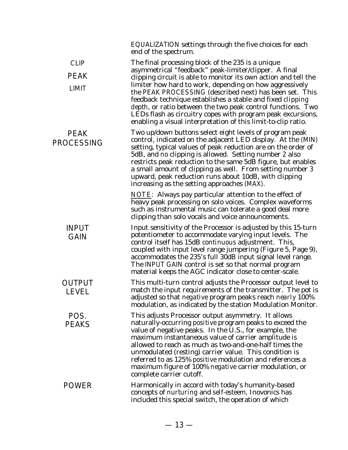|                                            | EQUALIZATION settings through the five choices for each<br>end of the spectrum.                                                                                                                                                                                                                                                                                                                                                                                                                                                                                         |
|--------------------------------------------|-------------------------------------------------------------------------------------------------------------------------------------------------------------------------------------------------------------------------------------------------------------------------------------------------------------------------------------------------------------------------------------------------------------------------------------------------------------------------------------------------------------------------------------------------------------------------|
| <b>CLIP</b><br><b>PEAK</b><br><b>LIMIT</b> | The final processing block of the 235 is a unique<br>asymmetrical "feedback" peak-limiter/clipper. A final<br>clipping circuit is able to monitor its own action and tell the<br>limiter how hard to work, depending on how aggressively<br>the PEAK PROCESSING (described next) has been set. This<br>feedback technique establishes a stable and fixed <i>clipping</i><br>depth, or ratio between the two peak control functions. Two<br>LEDs flash as circuitry copes with program peak excursions,<br>enabling a visual interpretation of this limit-to-clip ratio. |
| <b>PEAK</b><br><b>PROCESSING</b>           | Two up/down buttons select eight levels of program peak<br>control, indicated on the adjacent LED display. At the (MIN)<br>setting, typical values of peak reduction are on the order of<br>5dB, and no clipping is allowed. Setting number 2 also<br>restricts peak reduction to the same 5dB figure, but enables<br>a small amount of clipping as well. From setting number 3<br>upward, peak reduction runs about 10dB, with clipping<br>increasing as the setting approaches (MAX).                                                                                 |
|                                            | <b>NOTE:</b> Always pay particular attention to the effect of<br>heavy peak processing on solo voices. Complex waveforms<br>such as instrumental music can tolerate a good deal more<br>clipping than solo vocals and voice announcements.                                                                                                                                                                                                                                                                                                                              |
| <b>INPUT</b><br><b>GAIN</b>                | Input sensitivity of the Processor is adjusted by this 15-turn<br>potentiometer to accommodate varying input levels. The<br>control itself has 15dB continuous adjustment. This,<br>coupled with input level range jumpering (Figure 5, Page 9),<br>accommodates the 235's full 30dB input signal level range.<br>The INPUT GAIN control is set so that normal program<br>material keeps the AGC indicator close to center-scale.                                                                                                                                       |
| <b>OUTPUT</b><br>LEVEI                     | This multi-turn control adjusts the Processor output level to<br>match the input requirements of the transmitter. The pot is<br>adjusted so that negative program peaks reach nearly 100%<br>modulation, as indicated by the station Modulation Monitor.                                                                                                                                                                                                                                                                                                                |
| POS.<br><b>PEAKS</b>                       | This adjusts Processor output asymmetry. It allows<br>naturally-occurring <i>positive</i> program peaks to exceed the<br>value of negative peaks. In the U.S., for example, the<br>maximum instantaneous value of carrier amplitude is<br>allowed to reach as much as two-and-one-half times the<br>unmodulated (resting) carrier value. This condition is<br>referred to as 125% <i>positive</i> modulation and references a<br>maximum figure of 100% negative carrier modulation, or<br>complete carrier cutoff.                                                     |
| <b>POWER</b>                               | Harmonically in accord with today's humanity-based<br>concepts of nurturing and self-esteem, Inovonics has<br>included this special switch, the operation of which                                                                                                                                                                                                                                                                                                                                                                                                      |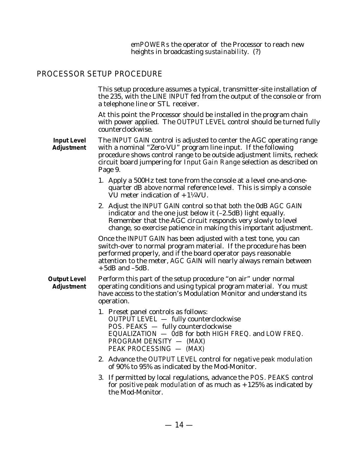*emPOWERs* the operator of the Processor to reach new heights in broadcasting *sustainability*. (?)

#### PROCESSOR SETUP PROCEDURE

This setup procedure assumes a typical, transmitter-site installation of the 235, with the LINE INPUT fed from the output of the console or from a telephone line or STL receiver.

At this point the Processor should be installed in the program chain with power applied. The OUTPUT LEVEL control should be turned fully counterclockwise.

**Input Level Adjustment** The INPUT GAIN control is adjusted to center the AGC operating range with a nominal "Zero-VU" program line input. If the following procedure shows control range to be outside adjustment limits, recheck circuit board jumpering for *Input Gain Range* selection as described on Page 9.

> 1. Apply a 500Hz test tone from the console at a level one-and-onequarter dB *above* normal reference level. This is simply a console VU meter indication of +1¼VU.

> 2. Adjust the INPUT GAIN control so that *both* the 0dB AGC GAIN indicator *and* the one just below it (–2.5dB) light equally. Remember that the AGC circuit responds very slowly to level change, so exercise patience in making this important adjustment.

> Once the INPUT GAIN has been adjusted with a test tone, you can switch-over to normal program material. If the procedure has been performed properly, and if the board operator pays reasonable attention to the meter, AGC GAIN will nearly always remain between  $+5dB$  and  $-5dB$ .

- **Output Level Adjustment** Perform this part of the setup procedure "on air" under normal operating conditions and using typical program material. You must have access to the station's Modulation Monitor and understand its operation.
	- 1. Preset panel controls as follows: OUTPUT LEVEL — fully counterclockwise POS. PEAKS — fully counterclockwise  $EQUALIZATION - õdB$  for both HIGH FREQ. and LOW FREQ. PROGRAM DENSITY — (MAX) PEAK PROCESSING — (MAX)
	- 2. Advance the OUTPUT LEVEL control for *negative peak modulation* of 90% to 95% as indicated by the Mod-Monitor.
	- 3. If permitted by local regulations, advance the POS. PEAKS control for *positive peak modulation* of as much as  $+125\%$  as indicated by the Mod-Monitor.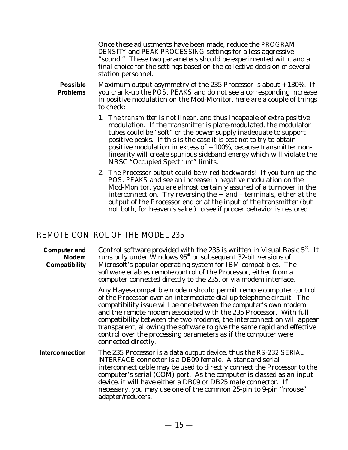Once these adjustments have been made, reduce the PROGRAM DENSITY and PEAK PROCESSING settings for a less aggressive "sound." These two parameters should be experimented with, and a final choice for the settings based on the collective decision of several station personnel.

**Possible Problems** Maximum output asymmetry of the 235 Processor is about  $+130\%$ . If you crank-up the POS. PEAKS and do not see a corresponding increase in positive modulation on the Mod-Monitor, here are a couple of things to check:

- 1. *The transmitter is not linear*, and thus incapable of extra positive modulation. If the transmitter is plate-modulated, the modulator tubes could be "soft" or the power supply inadequate to support positive peaks. If this is the case it is *best not to try* to obtain positive modulation in excess of  $+100%$ , because transmitter nonlinearity will create spurious sideband energy which will violate the NRSC "Occupied Spectrum" limits.
- 2. *The Processor output could be wired backwards!* If you turn up the POS. PEAKS and see an increase in *negative* modulation on the Mod-Monitor, you are almost certainly assured of a turnover in the interconnection. Try reversing the  $+$  and  $-$  terminals, either at the output of the Processor end or at the input of the transmitter (but not both, for heaven's sake!) to see if proper behavior is restored.

#### REMOTE CONTROL OF THE MODEL 235

| <b>Computer and</b><br>Modem<br>Compatibility | Control software provided with the 235 is written in Visual Basic 5 <sup>®</sup> . It<br>runs only under Windows 95 <sup>®</sup> or subsequent 32-bit versions of<br>Microsoft's popular operating system for IBM-compatibles. The<br>software enables remote control of the Processor, either from a<br>computer connected directly to the 235, or via modem interface.                                                                                                                                                       |
|-----------------------------------------------|--------------------------------------------------------------------------------------------------------------------------------------------------------------------------------------------------------------------------------------------------------------------------------------------------------------------------------------------------------------------------------------------------------------------------------------------------------------------------------------------------------------------------------|
|                                               | Any Hayes-compatible modem should permit remote computer control<br>of the Processor over an intermediate dial-up telephone circuit. The<br>compatibility issue will be one between the computer's own modem<br>and the remote modem associated with the 235 Processor. With full<br>compatibility between the two modems, the interconnection will appear<br>transparent, allowing the software to give the same rapid and effective<br>control over the processing parameters as if the computer were<br>connected directly. |
| Interconnection                               | The 235 Processor is a data <i>output</i> device, thus the RS-232 SERIAL<br>INTERFACE connector is a DB09 female. A standard serial<br>interconnect cable may be used to directly connect the Processor to the<br>computer's serial (COM) port. As the computer is classed as an <i>input</i><br>device, it will have either a DB09 or DB25 male connector. If<br>necessary, you may use one of the common 25-pin to 9-pin "mouse"<br>adapter/reducers.                                                                        |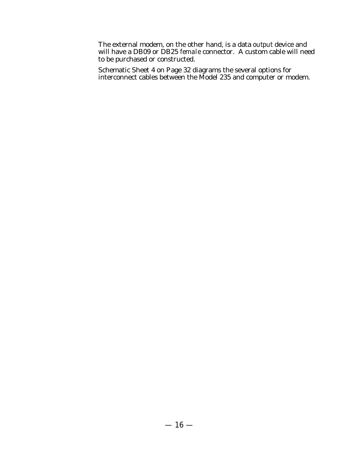The external modem, on the other hand, is a data *output* device and will have a DB09 or DB25 *female* connector. A custom cable will need to be purchased or constructed.

Schematic Sheet 4 on Page 32 diagrams the several options for interconnect cables between the Model 235 and computer or modem.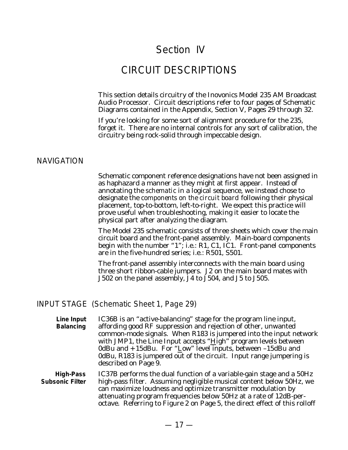# Section IV

# CIRCUIT DESCRIPTIONS

This section details circuitry of the Inovonics Model 235 AM Broadcast Audio Processor. Circuit descriptions refer to four pages of Schematic Diagrams contained in the Appendix, Section V, Pages 29 through 32.

If you're looking for some sort of alignment procedure for the 235, forget it. There are no internal controls for any sort of calibration, the circuitry being rock-solid through impeccable design.

#### NAVIGATION

Schematic component reference designations have not been assigned in as haphazard a manner as they might at first appear. Instead of annotating the *schematic* in a logical sequence, we instead chose to designate the *components on the circuit board* following their physical placement, top-to-bottom, left-to-right. We expect this practice will prove useful when troubleshooting, making it easier to locate the physical part after analyzing the diagram.

The Model 235 schematic consists of three sheets which cover the main circuit board and the front-panel assembly. Main-board components begin with the number "1"; i.e.: R1, C1, IC1. Front-panel components are in the five-hundred series; i.e.: R501, S501.

The front-panel assembly interconnects with the main board using three short ribbon-cable jumpers. J2 on the main board mates with J502 on the panel assembly, J4 to J504, and J5 to J505.

#### INPUT STAGE (Schematic Sheet 1, Page 29)

**Line Input Balancing** IC36B is an "active-balancing" stage for the program line input, affording good RF suppression and rejection of other, unwanted common-mode signals. When R183 is jumpered into the input network with JMP1, the Line Input accepts "High" program levels between 0dBu and  $+15$ dBu. For "Low" level inputs, between  $-15$ dBu and 0dBu, R183 is jumpered out of the circuit. Input range jumpering is described on Page 9.

**High-Pass Subsonic Filter** IC37B performs the dual function of a variable-gain stage and a 50Hz high-pass filter. Assuming negligible musical content below 50Hz, we can maximize loudness and optimize transmitter modulation by attenuating program frequencies below 50Hz at a rate of 12dB-peroctave. Referring to Figure 2 on Page 5, the direct effect of this rolloff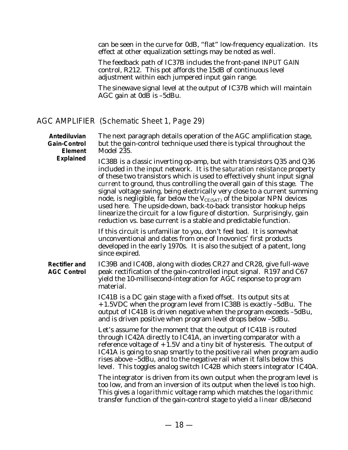can be seen in the curve for 0dB, "flat" low-frequency equalization. Its effect at other equalization settings may be noted as well.

The feedback path of IC37B includes the front-panel INPUT GAIN control, R212. This pot affords the 15dB of continuous level adjustment within each jumpered input gain range.

The sinewave signal level at the output of IC37B which will maintain AGC gain at  $0d\overrightarrow{B}$  is  $-5dBu$ .

#### AGC AMPLIFIER (Schematic Sheet 1, Page 29)

| Antediluvian<br><b>Gain-Control</b><br>Element<br><b>Explained</b> | The next paragraph details operation of the AGC amplification stage,<br>but the gain-control technique used there is typical throughout the<br>Model 235.<br>IC38B is a classic inverting op-amp, but with transistors Q35 and Q36<br>included in the input network. It is the saturation resistance property<br>of these two transistors which is used to effectively shunt input signal<br>current to ground, thus controlling the overall gain of this stage. The<br>signal voltage swing, being electrically very close to a current summing<br>node, is negligible, far below the $V_{CE(SAT)}$ of the bipolar NPN devices<br>used here. The upside-down, back-to-back transistor hookup helps<br>linearize the circuit for a low figure of distortion. Surprisingly, gain |
|--------------------------------------------------------------------|---------------------------------------------------------------------------------------------------------------------------------------------------------------------------------------------------------------------------------------------------------------------------------------------------------------------------------------------------------------------------------------------------------------------------------------------------------------------------------------------------------------------------------------------------------------------------------------------------------------------------------------------------------------------------------------------------------------------------------------------------------------------------------|
|                                                                    | reduction vs. base current is a stable and predictable function.<br>If this circuit is unfamiliar to you, don't feel bad. It is somewhat<br>unconventional and dates from one of Inovonics' first products<br>developed in the early 1970s. It is also the subject of a patent, long<br>since expired.                                                                                                                                                                                                                                                                                                                                                                                                                                                                          |
| <b>Rectifier and</b><br><b>AGC Control</b>                         | IC39B and IC40B, along with diodes CR27 and CR28, give full-wave<br>peak rectification of the gain-controlled input signal. R197 and C67<br>yield the 10-millisecond-integration for AGC response to program<br>material.                                                                                                                                                                                                                                                                                                                                                                                                                                                                                                                                                       |
|                                                                    | IC41B is a DC gain stage with a fixed offset. Its output sits at<br>+1.5VDC when the program level from IC38B is exactly -5dBu. The<br>output of IC41B is driven negative when the program exceeds -5dBu,<br>and is driven positive when program level drops below -5dBu.                                                                                                                                                                                                                                                                                                                                                                                                                                                                                                       |
|                                                                    | Let's assume for the moment that the output of IC41B is routed<br>through IC42A directly to IC41A, an inverting comparator with a<br>reference voltage of $+1.5V$ and a tiny bit of hysteresis. The output of<br>IC41A is going to snap smartly to the positive rail when program audio<br>rises above -5dBu, and to the negative rail when it falls below this<br>level. This toggles analog switch IC42B which steers integrator IC40A.                                                                                                                                                                                                                                                                                                                                       |
|                                                                    | The integrator is driven from its own output when the program level is<br>too low, and from an inversion of its output when the level is too high.<br>This gives a <i>logarithmic</i> voltage ramp which matches the <i>logarithmic</i><br>transfer function of the gain-control stage to yield a <i>linear</i> dB/second                                                                                                                                                                                                                                                                                                                                                                                                                                                       |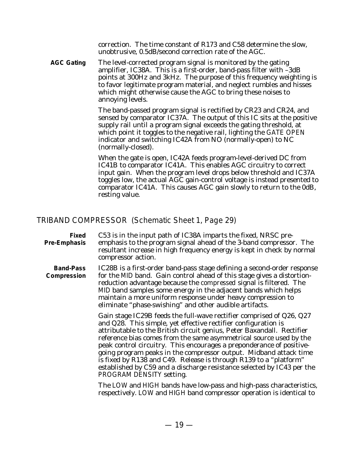correction. The time constant of R173 and C58 determine the slow, unobtrusive, 0.5dB/second correction rate of the AGC.

**AGC Gating** The level-corrected program signal is monitored by the gating amplifier, IC38A. This is a first-order, band-pass filter with –3dB points at 300Hz and 3kHz. The purpose of this frequency weighting is to favor legitimate program material, and neglect rumbles and hisses which might otherwise cause the AGC to bring these noises to annoying levels.

> The band-passed program signal is rectified by CR23 and CR24, and sensed by comparator IC37A. The output of this IC sits at the positive supply rail until a program signal exceeds the gating threshold, at which point it toggles to the negative rail, lighting the GATE OPEN indicator and switching IC42A from NO (normally-open) to NC (normally-closed).

> When the gate is open, IC42A feeds program-level-derived DC from IC41B to comparator IC41A. This enables AGC circuitry to correct input gain. When the program level drops below threshold and IC37A toggles low, the actual AGC gain-control voltage is instead presented to comparator IC41A. This causes AGC gain slowly to return to the 0dB, resting value.

#### TRIBAND COMPRESSOR (Schematic Sheet 1, Page 29)

- **Fixed Pre-Emphasis** C53 is in the input path of IC38A imparts the fixed, NRSC preemphasis to the program signal ahead of the 3-band compressor. The resultant increase in high frequency energy is kept in check by normal compressor action.
- **Band-Pass Compression** IC28B is a first-order band-pass stage defining a second-order response for the MID band. Gain control ahead of this stage gives a distortionreduction advantage because the *compressed* signal is filtered. The MID band samples some energy in the adjacent bands which helps maintain a more uniform response under heavy compression to eliminate "phase-swishing" and other audible artifacts.

Gain stage IC29B feeds the full-wave rectifier comprised of Q26, Q27 and Q28. This simple, yet effective rectifier configuration is attributable to the British circuit genius, Peter Baxandall. Rectifier reference bias comes from the same asymmetrical source used by the peak control circuitry. This encourages a preponderance of positivegoing program peaks in the compressor output. Midband attack time is fixed by R138 and C49. Release is through R139 to a "platform" established by C59 and a discharge resistance selected by IC43 per the PROGRAM DENSITY setting.

The LOW and HIGH bands have low-pass and high-pass characteristics, respectively. LOW and HIGH band compressor operation is identical to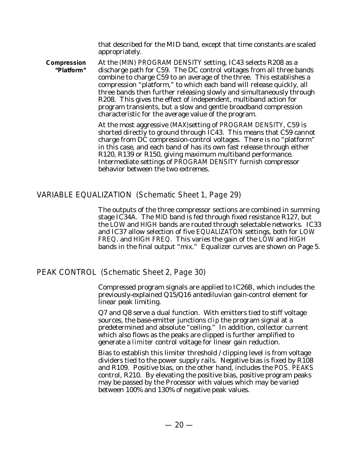that described for the MID band, except that time constants are scaled appropriately.

**Compression "Platform"** At the (MIN) PROGRAM DENSITY setting, IC43 selects R208 as a discharge path for C59. The DC control voltages from all three bands combine to charge C59 to an average of the three. This establishes a compression "platform," to which each band will release quickly, all three bands then further releasing slowly and simultaneously through R208. This gives the effect of independent, multiband action for program transients, but a slow and gentle broadband compression characteristic for the average value of the program.

> At the most aggressive (MAX)setting of PROGRAM DENSITY, C59 is shorted directly to ground through IC43. This means that C59 cannot charge from DC compression-control voltages. There is no "platform" in this case, and each band of has its own fast release through either R120, R139 or R150, giving maximum multiband performance. Intermediate settings of PROGRAM DENSITY furnish compressor behavior between the two extremes.

#### VARIABLE EQUALIZATION (Schematic Sheet 1, Page 29)

The outputs of the three compressor sections are combined in summing stage IC34A. The MID band is fed through fixed resistance R127, but the LOW and HIGH bands are routed through selectable networks. IC33 and IC37 allow selection of five EQUALIZATON settings, both for LOW FREQ. and HIGH FREQ. This varies the gain of the LOW and HIGH bands in the final output "mix." Equalizer curves are shown on Page 5.

PEAK CONTROL (Schematic Sheet 2, Page 30)

Compressed program signals are applied to IC26B, which includes the previously-explained Q15/Q16 antediluvian gain-control element for linear peak limiting.

Q7 and Q8 serve a dual function. With emitters tied to stiff voltage sources, the base-emitter junctions *clip* the program signal at a predetermined and absolute "ceiling." In addition, collector current which also flows as the peaks are clipped is further amplified to generate a *limiter* control voltage for linear gain reduction.

Bias to establish this limiter threshold / clipping level is from voltage dividers tied to the power supply rails. Negative bias is fixed by R108 and R109. Positive bias, on the other hand, includes the POS. PEAKS control, R210. By elevating the positive bias, positive program peaks may be passed by the Processor with values which may be varied between 100% and 130% of negative peak values.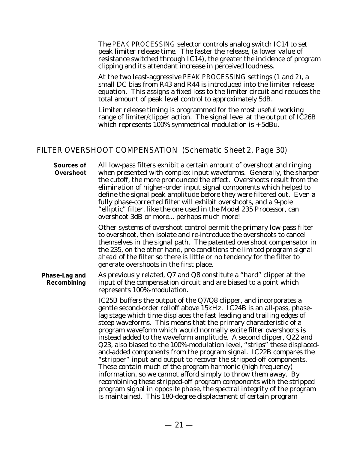The PEAK PROCESSING selector controls analog switch IC14 to set peak limiter release time*.* The faster the release, (a lower value of resistance switched through IC14), the greater the incidence of program clipping and its attendant increase in perceived loudness.

At the two least-aggressive PEAK PROCESSING settings (1 and 2), a small DC bias from R43 and R44 is introduced into the limiter release equation. This assigns a fixed loss to the limiter circuit and reduces the total amount of peak level control to approximately 5dB.

Limiter release timing is programmed for the most useful working range of limiter/clipper action. The signal level at the output of IC26B which represents  $100\%$  symmetrical modulation is  $+5dBu$ .

#### FILTER OVERSHOOT COMPENSATION (Schematic Sheet 2, Page 30)

**Sources of Overshoot** All low-pass filters exhibit a certain amount of overshoot and ringing when presented with complex input waveforms. Generally, the sharper the cutoff, the more pronounced the effect. Overshoots result from the elimination of higher-order input signal components which helped to define the signal peak amplitude before they were filtered out. Even a fully phase-corrected filter will exhibit overshoots, and a 9-pole "elliptic" filter, like the one used in the Model 235 Processor, can overshoot 3dB or more... perhaps *much* more!

> Other systems of overshoot control permit the primary low-pass filter to overshoot, then isolate and re-introduce the overshoots to cancel themselves in the signal path. The patented overshoot compensator in the 235, on the other hand, pre-conditions the limited program signal *ahead* of the filter so there is little or no tendency for the filter to *generate* overshoots in the first place.

#### **Phase-Lag and Recombining** As previously related, Q7 and Q8 constitute a "hard" clipper at the input of the compensation circuit and are biased to a point which represents 100%-modulation.

IC25B buffers the output of the Q7/Q8 clipper, and incorporates a gentle second-order rolloff above 15kHz. IC24B is an all-pass, phaselag stage which time-displaces the fast leading and trailing edges of steep waveforms. This means that the primary characteristic of a program waveform which would normally *excite* filter overshoots is instead added to the waveform *amplitude*. A second clipper, Q22 and Q23, also biased to the 100%-modulation level, "strips" these displacedand-added components from the program signal. IC22B compares the "stripper" input and output to recover the stripped-off components. These contain much of the program harmonic (high frequency) information, so we cannot afford simply to throw them away. By recombining these stripped-off program components with the stripped program signal *in opposite phase*, the spectral integrity of the program is maintained. This 180-degree displacement of certain program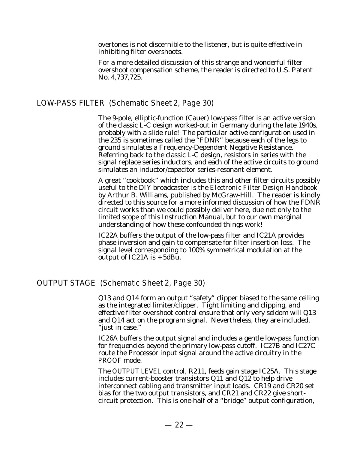overtones is not discernible to the listener, but is quite effective in inhibiting filter overshoots.

For a more detailed discussion of this strange and wonderful filter overshoot compensation scheme, the reader is directed to U.S. Patent No. 4,737,725.

#### LOW-PASS FILTER (Schematic Sheet 2, Page 30)

The 9-pole, elliptic-function (Cauer) low-pass filter is an active version of the classic L-C design worked-out in Germany during the late 1940s, probably with a slide rule! The particular active configuration used in the 235 is sometimes called the "FDNR" because each of the legs to ground simulates a Frequency-Dependent Negative Resistance. Referring back to the classic L-C design, resistors in series with the signal replace series inductors, and each of the active circuits to ground simulates an inductor/capacitor series-resonant element.

A great "cookbook" which includes this and other filter circuits possibly useful to the DIY broadcaster is the *Electronic Filter Design Handbook* by Arthur B. Williams, published by McGraw-Hill. The reader is kindly directed to this source for a more informed discussion of how the FDNR circuit works than we could possibly deliver here, due not only to the limited scope of this Instruction Manual, but to our own marginal understanding of how these confounded things work!

IC22A buffers the output of the low-pass filter and IC21A provides phase inversion and gain to compensate for filter insertion loss. The signal level corresponding to 100% symmetrical modulation at the output of IC21A is  $+5dBu$ .

#### OUTPUT STAGE (Schematic Sheet 2, Page 30)

Q13 and Q14 form an output "safety" clipper biased to the same ceiling as the integrated limiter/clipper. Tight limiting and clipping, and effective filter overshoot control ensure that only very seldom will Q13 and Q14 act on the program signal. Nevertheless, they are included, "just in case."

IC26A buffers the output signal and includes a gentle low-pass function for frequencies beyond the primary low-pass cutoff. IC27B and IC27C route the Processor input signal around the active circuitry in the PROOF mode.

The OUTPUT LEVEL control, R211, feeds gain stage IC25A. This stage includes current-booster transistors Q11 and Q12 to help drive interconnect cabling and transmitter input loads. CR19 and CR20 set bias for the two output transistors, and CR21 and CR22 give shortcircuit protection. This is one-half of a "bridge" output configuration,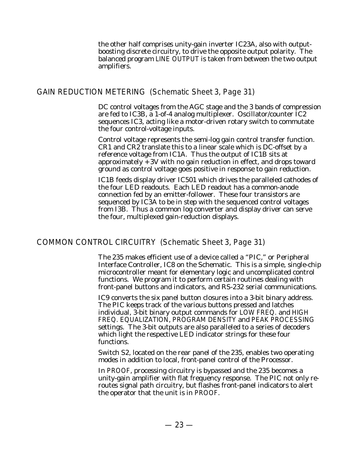the other half comprises unity-gain inverter IC23A, also with outputboosting discrete circuitry, to drive the opposite output polarity. The balanced program LINE OUTPUT is taken from between the two output amplifiers.

#### GAIN REDUCTION METERING (Schematic Sheet 3, Page 31)

DC control voltages from the AGC stage and the 3 bands of compression are fed to IC3B, a 1-of-4 analog multiplexer. Oscillator/counter IC2 sequences IC3, acting like a motor-driven rotary switch to commutate the four control-voltage inputs.

Control voltage represents the semi-log gain control transfer function. CR1 and CR2 translate this to a linear scale which is DC-offset by a reference voltage from IC1A. Thus the output of IC1B sits at approximately +3V with no gain reduction in effect, and drops toward ground as control voltage goes positive in response to gain reduction.

IC1B feeds display driver IC501 which drives the paralleled cathodes of the four LED readouts. Each LED readout has a common-anode connection fed by an emitter-follower. These four transistors are sequenced by IC3A to be in step with the sequenced control voltages from I3B. Thus a common log converter and display driver can serve the four, multiplexed gain-reduction displays.

#### COMMON CONTROL CIRCUITRY (Schematic Sheet 3, Page 31)

The 235 makes efficient use of a device called a "PIC," or Peripheral Interface Controller, IC8 on the Schematic. This is a simple, single-chip microcontroller meant for elementary logic and uncomplicated control functions. We program it to perform certain routines dealing with front-panel buttons and indicators, and RS-232 serial communications.

IC9 converts the six panel button closures into a 3-bit binary address. The PIC keeps track of the various buttons pressed and latches individual, 3-bit binary output commands for LOW FREQ. and HIGH FREQ. EQUALIZATION, PROGRAM DENSITY and PEAK PROCESSING settings. The 3-bit outputs are also paralleled to a series of decoders which light the respective LED indicator strings for these four functions.

Switch S2, located on the rear panel of the 235, enables two operating modes in addition to local, front-panel control of the Processor.

In PROOF, processing circuitry is bypassed and the 235 becomes a unity-gain amplifier with flat frequency response. The PIC not only reroutes signal path circuitry, but flashes front-panel indicators to alert the operator that the unit is in PROOF.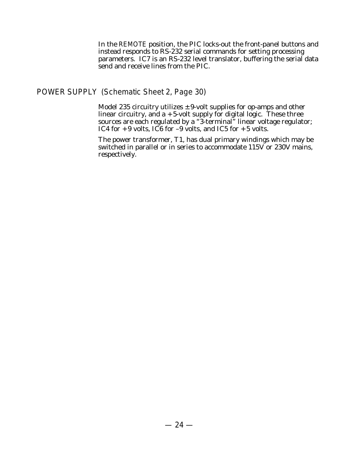In the REMOTE position, the PIC locks-out the front-panel buttons and instead responds to RS-232 serial commands for setting processing parameters. IC7 is an RS-232 level translator, buffering the serial data send and receive lines from the PIC.

POWER SUPPLY (Schematic Sheet 2, Page 30)

Model 235 circuitry utilizes  $\pm$  9-volt supplies for op-amps and other linear circuitry, and a +5-volt supply for digital logic. These three sources are each regulated by a "3-terminal" linear voltage regulator; IC4 for  $+9$  volts, IC6 for  $-9$  volts, and IC5 for  $+5$  volts.

The power transformer, T1, has dual primary windings which may be switched in parallel or in series to accommodate 115V or 230V mains, respectively.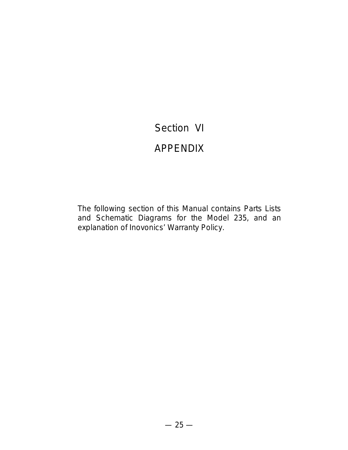# Section VI

# APPENDIX

The following section of this Manual contains Parts Lists and Schematic Diagrams for the Model 235, and an explanation of Inovonics' Warranty Policy.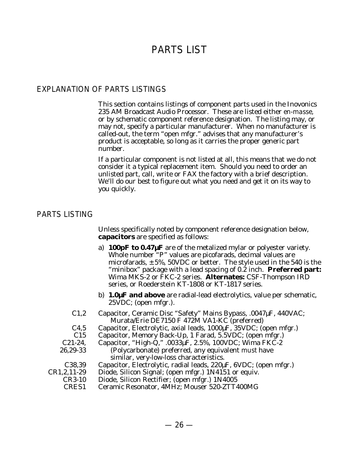# PARTS LIST

#### EXPLANATION OF PARTS LISTINGS

This section contains listings of component parts used in the Inovonics 235 AM Broadcast Audio Processor. These are listed either *en-masse,* or by schematic component reference designation. The listing may, or may not, specify a particular manufacturer. When no manufacturer is called-out, the term "open mfgr." advises that any manufacturer's product is acceptable, so long as it carries the proper generic part number.

If a particular component is not listed at all, this means that we do not consider it a typical replacement item. Should you need to order an unlisted part, call, write or FAX the factory with a brief description. We'll do our best to figure out what you need and get it on its way to you quickly.

#### PARTS LISTING

Unless specifically noted by component reference designation below, **capacitors** are specified as follows:

- a) **100pF to 0.47µF** are of the metalized mylar or polyester variety. Whole number "P" values are picofarads, decimal values are microfarads,  $\pm$  5%, 50VDC or better. The style used in the 540 is the "minibox" package with a lead spacing of 0.2 inch. **Preferred part:** Wima MKS-2 or FKC-2 series. **Alternates:** CSF-Thompson IRD series, or Roederstein KT-1808 or KT-1817 series.
- b) **1.0µF and above** are radial-lead electrolytics, value per schematic, 25VDC; (open mfgr.).
- C1,2 Capacitor, Ceramic Disc "Safety" Mains Bypass, .0047µF, 440VAC; Murata/Erie DE7150 F 472M VA1-KC (preferred)
- C4,5 Capacitor, Electrolytic, axial leads, 1000µF, 35VDC; (open mfgr.)
- C15 Capacitor, Memory Back-Up, 1 Farad, 5.5VDC; (open mfgr.)
- C21-24, 26,29-33 Capacitor, "High-Q," .0033 $\mu$ F, 2.5%, 100VDC; Wima FKC-2 (Polycarbonate) preferred, any equivalent *must* have similar, very-low-loss characteristics.
	- C38,39 Capacitor, Electrolytic, radial leads, 220µF, 6VDC; (open mfgr.)
- CR1,2,11-29 Diode, Silicon Signal; (open mfgr.) 1N4151 or equiv.
	- CR3-10 Diode, Silicon Rectifier; (open mfgr.) 1N4005
	- CRES1 Ceramic Resonator, 4MHz; Mouser 520-ZTT400MG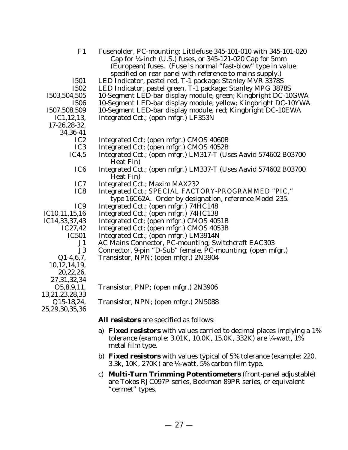| F1                                       | Fuseholder, PC-mounting; Littlefuse 345-101-010 with 345-101-020            |
|------------------------------------------|-----------------------------------------------------------------------------|
|                                          | Cap for $\frac{1}{4}$ -inch (U.S.) fuses, or 345-121-020 Cap for 5mm        |
|                                          | (European) fuses. (Fuse is normal "fast-blow" type in value                 |
|                                          | specified on rear panel with reference to mains supply.)                    |
| <b>I501</b>                              | LED Indicator, pastel red, T-1 package; Stanley MVR 3378S                   |
| <b>I502</b>                              | LED Indicator, pastel green, T-1 package; Stanley MPG 3878S                 |
| 1503,504,505                             | 10-Segment LED-bar display module, green; Kingbright DC-10GWA               |
| <b>I506</b>                              | 10-Segment LED-bar display module, yellow; Kingbright DC-10YWA              |
| 1507,508,509                             | 10-Segment LED-bar display module, red; Kingbright DC-10EWA                 |
| IC1, 12, 13,                             | Integrated Cct.; (open mfgr.) LF353N                                        |
| 17-26,28-32,                             |                                                                             |
| 34, 36 - 41                              |                                                                             |
| IC <sub>2</sub>                          | Integrated Cct; (open mfgr.) CMOS 4060B                                     |
| IC <sub>3</sub>                          | Integrated Cct; (open mfgr.) CMOS 4052B                                     |
| IC4,5                                    | Integrated Cct.; (open mfgr.) LM317-T (Uses Aavid 574602 B03700             |
|                                          | Heat Fin)                                                                   |
| IC <sub>6</sub>                          | Integrated Cct.; (open mfgr.) LM337-T (Uses Aavid 574602 B03700             |
|                                          | Heat Fin)                                                                   |
| IC7                                      | Integrated Cct.; Maxim MAX232                                               |
| IC8                                      | Integrated Cct.; SPECIAL FACTORY-PROGRAMMED "PIC,"                          |
|                                          | type 16C62A. Order by designation, reference Model 235.                     |
| IC <sub>9</sub>                          | Integrated Cct.; (open mfgr.) 74HC148                                       |
| IC10,11,15,16                            | Integrated Cct.; (open mfgr.) 74HC138                                       |
| IC14,33,37,43                            | Integrated Cct; (open mfgr.) CMOS 4051B                                     |
| IC27,42                                  | Integrated Cct; (open mfgr.) CMOS 4053B                                     |
| <b>IC501</b>                             | Integrated Cct.; (open mfgr.) LM3914N                                       |
| J1                                       | AC Mains Connector, PC-mounting; Switchcraft EAC303                         |
| J3                                       | Connector, 9-pin "D-Sub" female, PC-mounting; (open mfgr.)                  |
| $Q1-4,6,7,$                              | Transistor, NPN; (open mfgr.) 2N3904                                        |
| 10, 12, 14, 19,                          |                                                                             |
| 20,22,26,                                |                                                                             |
| 27, 31, 32, 34                           |                                                                             |
| O5,8,9,11,                               | Transistor, PNP; (open mfgr.) 2N3906                                        |
| 13,21,23,28,33                           |                                                                             |
| $\bigcap$ 1 $\mathcal{L}$ 10 $\bigcap$ 1 | $T_{\text{noncident}}$ $\text{NDM}$ , (orgo $\text{mfsn}$ ) $\text{ONE}$ 00 |

Q15-18,24, 25,29,30,35,36

Transistor, NPN; (open mfgr.) 2N5088

**All resistors** are specified as follows:

- a) **Fixed resistors** with values carried to decimal places implying a 1% tolerance (*example:* 3.01K, 10.0K, 15.0K, 332K) are ¼-watt, 1% metal film type.
- b) **Fixed resistors** with values typical of 5% tolerance (example: 220, 3.3k, 10K, 270K) are  $\frac{1}{4}$ -watt, 5% carbon film type.
- c) **Multi-Turn Trimming Potentiometers** (front-panel adjustable) are Tokos RJC097P series, Beckman 89PR series, or equivalent "cermet" types.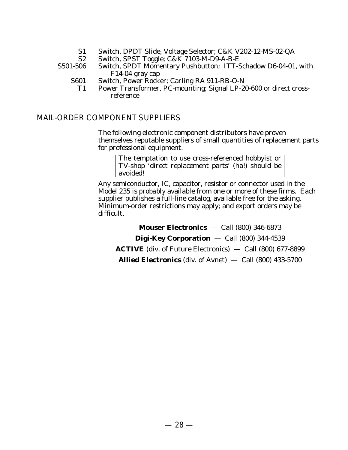- S1 Switch, DPDT Slide, Voltage Selector; C&K V202-12-MS-02-QA
- S2 Switch, SPST Toggle; C&K 7103-M-D9-A-B-E

S501-506 Switch, SPDT Momentary Pushbutton; ITT-Schadow D6-04-01, with F14-04 gray cap

- S601 Switch, Power Rocker; Carling RA 911-RB-O-N
	- T1 Power Transformer, PC-mounting; Signal LP-20-600 or direct crossreference

#### MAIL-ORDER COMPONENT SUPPLIERS

The following electronic component distributors have proven themselves reputable suppliers of small quantities of replacement parts for professional equipment.

The temptation to use cross-referenced hobbyist or TV-shop 'direct replacement parts' (ha!) should be avoided!

Any semiconductor, IC, capacitor, resistor or connector used in the Model 235 is *probably* available from one or more of these firms. Each supplier publishes a full-line catalog, available free for the asking. Minimum-order restrictions may apply; and export orders may be difficult.

**Mouser Electronics** — Call (800) 346-6873 **Digi-Key Corporation** — Call (800) 344-4539 **ACTIVE** (div. of Future Electronics) — Call (800) 677-8899 **Allied Electronics** (div. of Avnet) — Call (800) 433-5700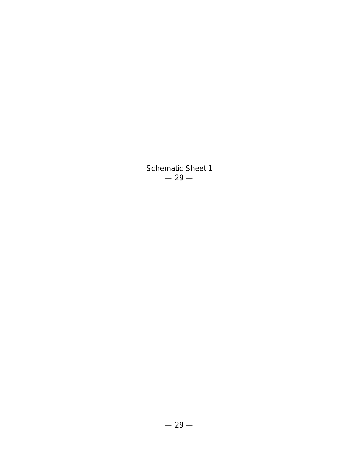Schematic Sheet 1  $-29-$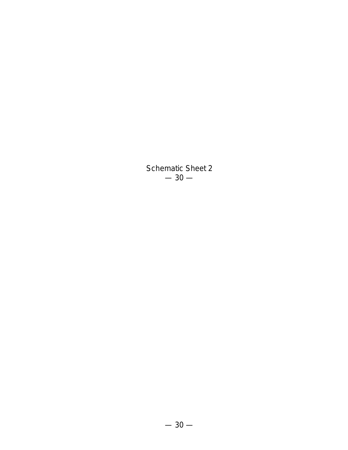Schematic Sheet 2  $-30-$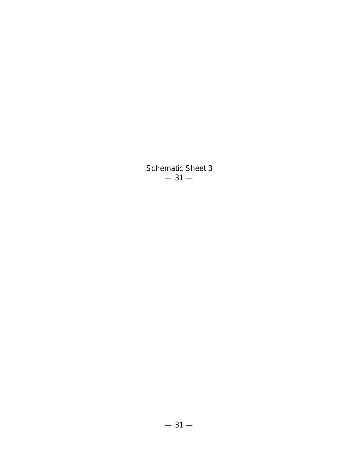Schematic Sheet 3  $-31-$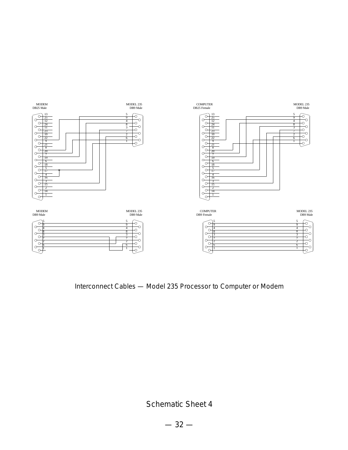

Interconnect Cables — Model 235 Processor to Computer or Modem

Schematic Sheet 4